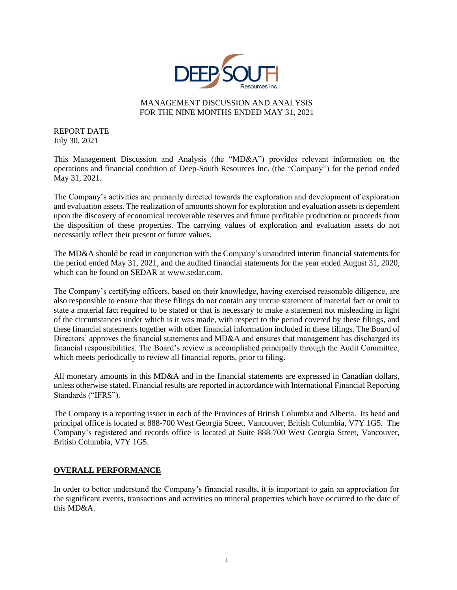

## MANAGEMENT DISCUSSION AND ANALYSIS FOR THE NINE MONTHS ENDED MAY 31, 2021

REPORT DATE July 30, 2021

This Management Discussion and Analysis (the "MD&A") provides relevant information on the operations and financial condition of Deep-South Resources Inc. (the "Company") for the period ended May 31, 2021.

The Company's activities are primarily directed towards the exploration and development of exploration and evaluation assets. The realization of amounts shown for exploration and evaluation assets is dependent upon the discovery of economical recoverable reserves and future profitable production or proceeds from the disposition of these properties. The carrying values of exploration and evaluation assets do not necessarily reflect their present or future values.

The MD&A should be read in conjunction with the Company's unaudited interim financial statements for the period ended May 31, 2021, and the audited financial statements for the year ended August 31, 2020, which can be found on SEDAR at www.sedar.com.

The Company's certifying officers, based on their knowledge, having exercised reasonable diligence, are also responsible to ensure that these filings do not contain any untrue statement of material fact or omit to state a material fact required to be stated or that is necessary to make a statement not misleading in light of the circumstances under which is it was made, with respect to the period covered by these filings, and these financial statements together with other financial information included in these filings. The Board of Directors' approves the financial statements and MD&A and ensures that management has discharged its financial responsibilities. The Board's review is accomplished principally through the Audit Committee, which meets periodically to review all financial reports, prior to filing.

All monetary amounts in this MD&A and in the financial statements are expressed in Canadian dollars, unless otherwise stated. Financial results are reported in accordance with International Financial Reporting Standards ("IFRS").

The Company is a reporting issuer in each of the Provinces of British Columbia and Alberta. Its head and principal office is located at 888-700 West Georgia Street, Vancouver, British Columbia, V7Y 1G5. The Company's registered and records office is located at Suite 888-700 West Georgia Street, Vancouver, British Columbia, V7Y 1G5.

## **OVERALL PERFORMANCE**

In order to better understand the Company's financial results, it is important to gain an appreciation for the significant events, transactions and activities on mineral properties which have occurred to the date of this MD&A.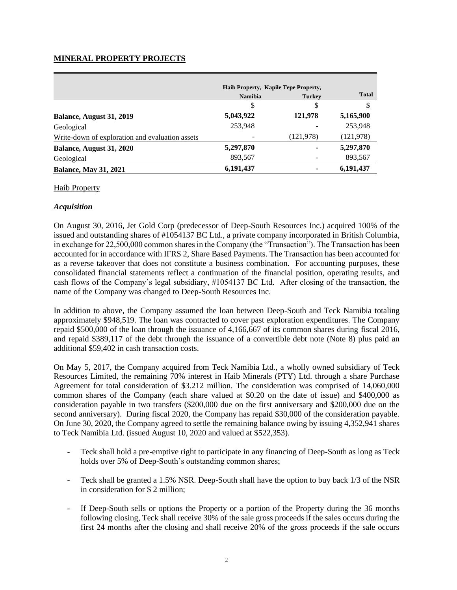## **MINERAL PROPERTY PROJECTS**

|                                                 | Haib Property, Kapile Tepe Property, |               | <b>Total</b> |  |
|-------------------------------------------------|--------------------------------------|---------------|--------------|--|
|                                                 | <b>Namibia</b>                       | <b>Turkey</b> |              |  |
|                                                 | \$                                   | \$            | \$           |  |
| Balance, August 31, 2019                        | 5,043,922                            | 121,978       | 5,165,900    |  |
| Geological                                      | 253,948                              |               | 253,948      |  |
| Write-down of exploration and evaluation assets |                                      | (121, 978)    | (121, 978)   |  |
| Balance, August 31, 2020                        | 5,297,870                            |               | 5,297,870    |  |
| Geological                                      | 893,567                              |               | 893,567      |  |
| <b>Balance, May 31, 2021</b>                    | 6,191,437                            |               | 6,191,437    |  |

#### Haib Property

## *Acquisition*

On August 30, 2016, Jet Gold Corp (predecessor of Deep-South Resources Inc.) acquired 100% of the issued and outstanding shares of #1054137 BC Ltd., a private company incorporated in British Columbia, in exchange for 22,500,000 common shares in the Company (the "Transaction"). The Transaction has been accounted for in accordance with IFRS 2, Share Based Payments. The Transaction has been accounted for as a reverse takeover that does not constitute a business combination. For accounting purposes, these consolidated financial statements reflect a continuation of the financial position, operating results, and cash flows of the Company's legal subsidiary, #1054137 BC Ltd. After closing of the transaction, the name of the Company was changed to Deep-South Resources Inc.

In addition to above, the Company assumed the loan between Deep-South and Teck Namibia totaling approximately \$948,519. The loan was contracted to cover past exploration expenditures. The Company repaid \$500,000 of the loan through the issuance of 4,166,667 of its common shares during fiscal 2016, and repaid \$389,117 of the debt through the issuance of a convertible debt note (Note 8) plus paid an additional \$59,402 in cash transaction costs.

On May 5, 2017, the Company acquired from Teck Namibia Ltd., a wholly owned subsidiary of Teck Resources Limited, the remaining 70% interest in Haib Minerals (PTY) Ltd. through a share Purchase Agreement for total consideration of \$3.212 million. The consideration was comprised of 14,060,000 common shares of the Company (each share valued at \$0.20 on the date of issue) and \$400,000 as consideration payable in two transfers (\$200,000 due on the first anniversary and \$200,000 due on the second anniversary). During fiscal 2020, the Company has repaid \$30,000 of the consideration payable. On June 30, 2020, the Company agreed to settle the remaining balance owing by issuing 4,352,941 shares to Teck Namibia Ltd. (issued August 10, 2020 and valued at \$522,353).

- Teck shall hold a pre-emptive right to participate in any financing of Deep-South as long as Teck holds over 5% of Deep-South's outstanding common shares;
- Teck shall be granted a 1.5% NSR. Deep-South shall have the option to buy back 1/3 of the NSR in consideration for \$ 2 million;
- If Deep-South sells or options the Property or a portion of the Property during the 36 months following closing, Teck shall receive 30% of the sale gross proceeds if the sales occurs during the first 24 months after the closing and shall receive 20% of the gross proceeds if the sale occurs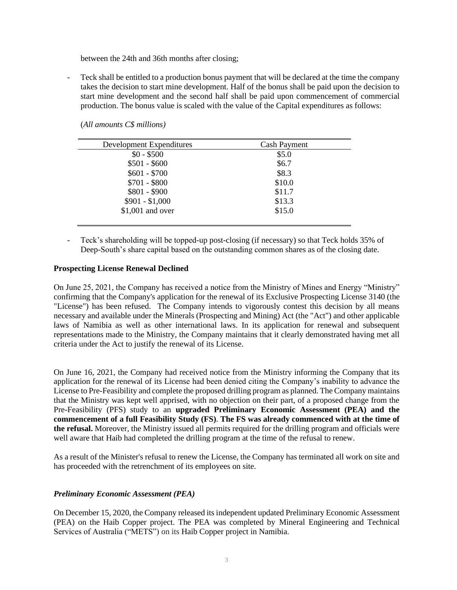between the 24th and 36th months after closing;

Teck shall be entitled to a production bonus payment that will be declared at the time the company takes the decision to start mine development. Half of the bonus shall be paid upon the decision to start mine development and the second half shall be paid upon commencement of commercial production. The bonus value is scaled with the value of the Capital expenditures as follows:

| <b>Cash Payment</b> |
|---------------------|
| \$5.0               |
| \$6.7               |
| \$8.3               |
| \$10.0              |
| \$11.7              |
| \$13.3              |
| \$15.0              |
|                     |

(*All amounts C\$ millions)*

- Teck's shareholding will be topped-up post-closing (if necessary) so that Teck holds 35% of Deep-South's share capital based on the outstanding common shares as of the closing date.

#### **Prospecting License Renewal Declined**

On June 25, 2021, the Company has received a notice from the Ministry of Mines and Energy "Ministry" confirming that the Company's application for the renewal of its Exclusive Prospecting License 3140 (the "License") has been refused. The Company intends to vigorously contest this decision by all means necessary and available under the Minerals (Prospecting and Mining) Act (the "Act") and other applicable laws of Namibia as well as other international laws. In its application for renewal and subsequent representations made to the Ministry, the Company maintains that it clearly demonstrated having met all criteria under the Act to justify the renewal of its License.

On June 16, 2021, the Company had received notice from the Ministry informing the Company that its application for the renewal of its License had been denied citing the Company's inability to advance the License to Pre-Feasibility and complete the proposed drilling program as planned. The Company maintains that the Ministry was kept well apprised, with no objection on their part, of a proposed change from the Pre-Feasibility (PFS) study to an **upgraded Preliminary Economic Assessment (PEA) and the commencement of a full Feasibility Study (FS)**. **The FS was already commenced with at the time of the refusal.** Moreover, the Ministry issued all permits required for the drilling program and officials were well aware that Haib had completed the drilling program at the time of the refusal to renew.

As a result of the Minister's refusal to renew the License, the Company has terminated all work on site and has proceeded with the retrenchment of its employees on site.

#### *Preliminary Economic Assessment (PEA)*

On December 15, 2020, the Company released its independent updated Preliminary Economic Assessment (PEA) on the Haib Copper project. The PEA was completed by Mineral Engineering and Technical Services of Australia ("METS") on its Haib Copper project in Namibia.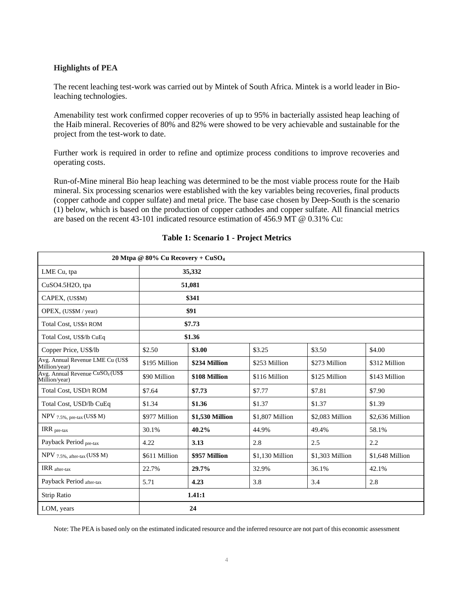# **Highlights of PEA**

The recent leaching test-work was carried out by Mintek of South Africa. Mintek is a world leader in Bioleaching technologies.

Amenability test work confirmed copper recoveries of up to 95% in bacterially assisted heap leaching of the Haib mineral. Recoveries of 80% and 82% were showed to be very achievable and sustainable for the project from the test-work to date.

Further work is required in order to refine and optimize process conditions to improve recoveries and operating costs.

Run-of-Mine mineral Bio heap leaching was determined to be the most viable process route for the Haib mineral. Six processing scenarios were established with the key variables being recoveries, final products (copper cathode and copper sulfate) and metal price. The base case chosen by Deep-South is the scenario (1) below, which is based on the production of copper cathodes and copper sulfate. All financial metrics are based on the recent 43-101 indicated resource estimation of 456.9 MT @ 0.31% Cu:

|                                                               | 20 Mtpa @ 80% Cu Recovery + $CuSO4$ |                 |                 |                 |                 |
|---------------------------------------------------------------|-------------------------------------|-----------------|-----------------|-----------------|-----------------|
| LME Cu, tpa                                                   |                                     | 35,332          |                 |                 |                 |
| CuSO4.5H2O, tpa                                               |                                     | 51,081          |                 |                 |                 |
| CAPEX, (US\$M)                                                |                                     | \$341           |                 |                 |                 |
| OPEX, (US\$M / year)                                          |                                     | \$91            |                 |                 |                 |
| Total Cost, US\$/t ROM                                        |                                     | \$7.73          |                 |                 |                 |
| Total Cost, US\$/lb CuEq                                      |                                     | \$1.36          |                 |                 |                 |
| Copper Price, US\$/lb                                         | \$2.50                              | \$3.00          | \$3.25          | \$3.50          | \$4.00          |
| Avg. Annual Revenue LME Cu (US\$<br>Million/year)             | \$195 Million                       | \$234 Million   | \$253 Million   | \$273 Million   | \$312 Million   |
| Avg. Annual Revenue CuSO <sub>4</sub> (US\$)<br>Million/year) | \$90 Million                        | \$108 Million   | \$116 Million   | \$125 Million   | \$143 Million   |
| Total Cost, USD/t ROM                                         | \$7.64                              | \$7.73          | \$7.77          | \$7.81          | \$7.90          |
| Total Cost, USD/lb CuEq                                       | \$1.34                              | \$1.36          | \$1.37          | \$1.37          | \$1.39          |
| NPV 7.5%, pre-tax (US\$ M)                                    | \$977 Million                       | \$1,530 Million | \$1,807 Million | \$2,083 Million | \$2,636 Million |
| IRR $_{pre}\text{-tax}$                                       | 30.1%                               | 40.2%           | 44.9%           | 49.4%           | 58.1%           |
| Payback Period pre-tax                                        | 4.22                                | 3.13            | 2.8             | 2.5             | 2.2             |
| NPV 7.5%, after-tax (US\$ M)                                  | \$611 Million                       | \$957 Million   | \$1,130 Million | \$1.303 Million | \$1,648 Million |
| $\text{IRR}_{\text{after-tax}}$                               | 22.7%                               | 29.7%           | 32.9%           | 36.1%           | 42.1%           |
| Payback Period after-tax                                      | 5.71                                | 4.23            | 3.8             | 3.4             | 2.8             |
| Strip Ratio                                                   |                                     | 1.41:1          |                 |                 |                 |
| LOM, years                                                    |                                     | 24              |                 |                 |                 |

# **Table 1: Scenario 1 - Project Metrics**

Note: The PEA is based only on the estimated indicated resource and the inferred resource are not part of this economic assessment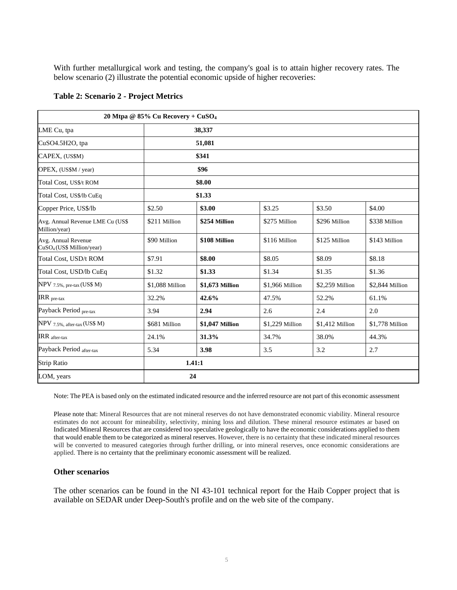With further metallurgical work and testing, the company's goal is to attain higher recovery rates. The below scenario (2) illustrate the potential economic upside of higher recoveries:

|                                                              | 20 Mtpa @ $85\%$ Cu Recovery + CuSO <sub>4</sub> |                 |                 |                 |                 |  |
|--------------------------------------------------------------|--------------------------------------------------|-----------------|-----------------|-----------------|-----------------|--|
| LME Cu, tpa                                                  |                                                  | 38,337          |                 |                 |                 |  |
| $CuSO4.5H2O$ , tpa                                           |                                                  | 51,081          |                 |                 |                 |  |
| CAPEX, (US\$M)                                               |                                                  | \$341           |                 |                 |                 |  |
| OPEX, (US\$M / year)                                         |                                                  | \$96            |                 |                 |                 |  |
| Total Cost, US\$/t ROM                                       |                                                  | \$8.00          |                 |                 |                 |  |
| Total Cost, US\$/lb CuEq                                     |                                                  | \$1.33          |                 |                 |                 |  |
| Copper Price, US\$/lb                                        | \$2.50                                           | \$3.00          | \$3.25          | \$3.50          | \$4.00          |  |
| Avg. Annual Revenue LME Cu (US\$<br>Million/year)            | \$211 Million                                    | \$254 Million   | \$275 Million   | \$296 Million   | \$338 Million   |  |
| Avg. Annual Revenue<br>CuSO <sub>4</sub> (US\$ Million/year) | \$90 Million                                     | \$108 Million   | \$116 Million   | \$125 Million   | \$143 Million   |  |
| Total Cost, USD/t ROM                                        | \$7.91                                           | \$8.00          | \$8.05          | \$8.09          | \$8.18          |  |
| Total Cost, USD/lb CuEq                                      | \$1.32                                           | \$1.33          | \$1.34          | \$1.35          | \$1.36          |  |
| NPV $7.5\%$ , pre-tax (US\$ M)                               | \$1,088 Million                                  | \$1,673 Million | \$1,966 Million | \$2,259 Million | \$2,844 Million |  |
| $IRR_{pre}\text{-tax}$                                       | 32.2%                                            | 42.6%           | 47.5%           | 52.2%           | 61.1%           |  |
| Payback Period pre-tax                                       | 3.94                                             | 2.94            | 2.6             | 2.4             | 2.0             |  |
| NPV 7.5%, after-tax (US\$ M)                                 | \$681 Million                                    | \$1,047 Million | \$1,229 Million | \$1,412 Million | \$1,778 Million |  |
| IRR after-tax                                                | 24.1%                                            | 31.3%           | 34.7%           | 38.0%           | 44.3%           |  |
| Payback Period after-tax                                     | 5.34                                             | 3.98            | 3.5             | 3.2             | 2.7             |  |
| Strip Ratio                                                  |                                                  | 1.41:1          |                 |                 |                 |  |
| LOM, years                                                   |                                                  | 24              |                 |                 |                 |  |

#### **Table 2: Scenario 2 - Project Metrics**

Note: The PEA is based only on the estimated indicated resource and the inferred resource are not part of this economic assessment

Please note that: Mineral Resources that are not mineral reserves do not have demonstrated economic viability. Mineral resource estimates do not account for mineability, selectivity, mining loss and dilution. These mineral resource estimates ar based on Indicated Mineral Resources that are considered too speculative geologically to have the economic considerations applied to them that would enable them to be categorized as mineral reserves. However, there is no certainty that these indicated mineral resources will be converted to measured categories through further drilling, or into mineral reserves, once economic considerations are applied. There is no certainty that the preliminary economic assessment will be realized.

#### **Other scenarios**

The other scenarios can be found in the NI 43-101 technical report for the Haib Copper project that is available on SEDAR under Deep-South's profile and on the web site of the company.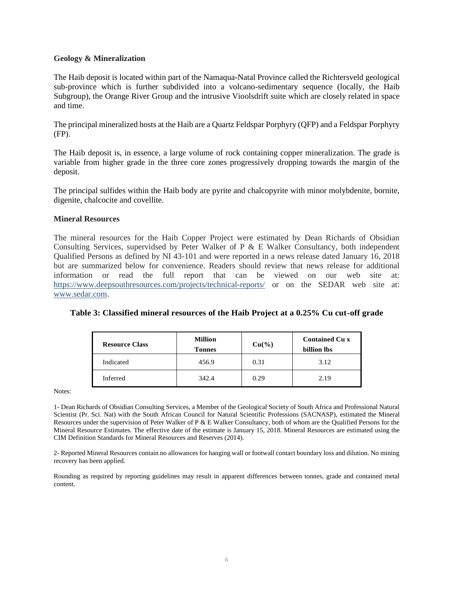#### **Geology & Mineralization**

The Haib deposit is located within part of the Namaqua-Natal Province called the Richtersveld geological sub-province which is further subdivided into a volcano-sedimentary sequence (locally, the Haib Subgroup), the Orange River Group and the intrusive Vioolsdrift suite which are closely related in space and time.

The principal mineralized hosts at the Haib are a Quartz Feldspar Porphyry (QFP) and a Feldspar Porphyry (FP).

The Haib deposit is, in essence, a large volume of rock containing copper mineralization. The grade is variable from higher grade in the three core zones progressively dropping towards the margin of the deposit.

The principal sulfides within the Haib body are pyrite and chalcopyrite with minor molybdenite, bornite, digenite, chalcocite and covellite.

#### **Mineral Resources**

The mineral resources for the Haib Copper Project were estimated by Dean Richards of Obsidian Consulting Services, supervidsed by Peter Walker of P  $\&$  E Walker Consultancy, both independent Qualified Persons as defined by NI 43-101 and were reported in a news release dated January 16, 2018 but are summarized below for convenience. Readers should review that news release for additional information or read the full report that can be viewed on our web site at: https://www.deepsouthresources.com/projects/technical-reports/ or on the SEDAR web site at: www.sedar.com.

| <b>Resource Class</b> | <b>Million</b><br><b>Tonnes</b> | $Cu(^{9}/_{0})$ | <b>Contained Cu x</b><br>billion lbs |
|-----------------------|---------------------------------|-----------------|--------------------------------------|
| Indicated             | 456.9                           | 0.31            | 3.12                                 |
| Inferred              | 342.4                           | 0.29            | 2.19                                 |

#### **Table 3: Classified mineral resources of the Haib Project at a 0.25% Cu cut-off grade**

Notes:

1- Dean Richards of Obsidian Consulting Services, a Member of the Geological Society of South Africa and Professional Natural Scientist (Pr. Sci. Nat) with the South African Council for Natural Scientific Professions (SACNASP), estimated the Mineral Resources under the supervision of Peter Walker of P & E Walker Consultancy, both of whom are the Qualified Persons for the Mineral Resource Estimates. The effective date of the estimate is January 15, 2018. Mineral Resources are estimated using the CIM Definition Standards for Mineral Resources and Reserves (2014).

2- Reported Mineral Resources contain no allowances for hanging wall or footwall contact boundary loss and dilution. No mining recovery has been applied.

Rounding as required by reporting guidelines may result in apparent differences between tonnes, grade and contained metal content.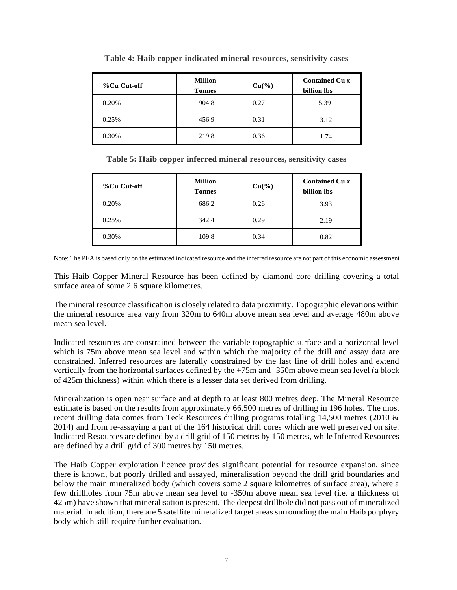| %Cu Cut-off | <b>Million</b><br><b>Tonnes</b> | $Cu(^{9}/_{0})$ | <b>Contained Cu x</b><br>billion lbs |
|-------------|---------------------------------|-----------------|--------------------------------------|
| 0.20%       | 904.8                           | 0.27            | 5.39                                 |
| 0.25%       | 456.9                           | 0.31            | 3.12                                 |
| 0.30%       | 219.8                           | 0.36            | 1.74                                 |

**Table 4: Haib copper indicated mineral resources, sensitivity cases**

**Table 5: Haib copper inferred mineral resources, sensitivity cases**

| %Cu Cut-off | <b>Million</b><br><b>Tonnes</b> | $Cu(^{9}/_{0})$ | <b>Contained Cu x</b><br>billion lbs |
|-------------|---------------------------------|-----------------|--------------------------------------|
| 0.20%       | 686.2                           | 0.26            | 3.93                                 |
| 0.25%       | 342.4                           | 0.29            | 2.19                                 |
| 0.30%       | 109.8                           | 0.34            | 0.82                                 |

Note: The PEA is based only on the estimated indicated resource and the inferred resource are not part of this economic assessment

This Haib Copper Mineral Resource has been defined by diamond core drilling covering a total surface area of some 2.6 square kilometres.

The mineral resource classification is closely related to data proximity. Topographic elevations within the mineral resource area vary from 320m to 640m above mean sea level and average 480m above mean sea level.

Indicated resources are constrained between the variable topographic surface and a horizontal level which is 75m above mean sea level and within which the majority of the drill and assay data are constrained. Inferred resources are laterally constrained by the last line of drill holes and extend vertically from the horizontal surfaces defined by the +75m and -350m above mean sea level (a block of 425m thickness) within which there is a lesser data set derived from drilling.

Mineralization is open near surface and at depth to at least 800 metres deep. The Mineral Resource estimate is based on the results from approximately 66,500 metres of drilling in 196 holes. The most recent drilling data comes from Teck Resources drilling programs totalling 14,500 metres (2010 & 2014) and from re-assaying a part of the 164 historical drill cores which are well preserved on site. Indicated Resources are defined by a drill grid of 150 metres by 150 metres, while Inferred Resources are defined by a drill grid of 300 metres by 150 metres.

The Haib Copper exploration licence provides significant potential for resource expansion, since there is known, but poorly drilled and assayed, mineralisation beyond the drill grid boundaries and below the main mineralized body (which covers some 2 square kilometres of surface area), where a few drillholes from 75m above mean sea level to -350m above mean sea level (i.e. a thickness of 425m) have shown that mineralisation is present. The deepest drillhole did not pass out of mineralized material. In addition, there are 5 satellite mineralized target areas surrounding the main Haib porphyry body which still require further evaluation.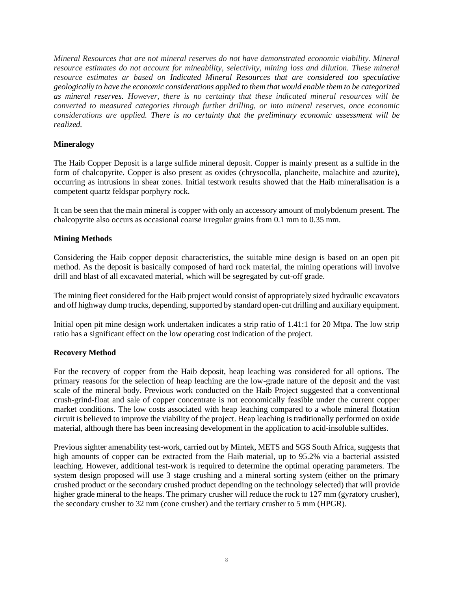*Mineral Resources that are not mineral reserves do not have demonstrated economic viability. Mineral resource estimates do not account for mineability, selectivity, mining loss and dilution. These mineral resource estimates ar based on Indicated Mineral Resources that are considered too speculative geologically to have the economic considerations applied to them that would enable them to be categorized as mineral reserves. However, there is no certainty that these indicated mineral resources will be converted to measured categories through further drilling, or into mineral reserves, once economic considerations are applied. There is no certainty that the preliminary economic assessment will be realized.*

## **Mineralogy**

The Haib Copper Deposit is a large sulfide mineral deposit. Copper is mainly present as a sulfide in the form of chalcopyrite. Copper is also present as oxides (chrysocolla, plancheite, malachite and azurite), occurring as intrusions in shear zones. Initial testwork results showed that the Haib mineralisation is a competent quartz feldspar porphyry rock.

It can be seen that the main mineral is copper with only an accessory amount of molybdenum present. The chalcopyrite also occurs as occasional coarse irregular grains from 0.1 mm to 0.35 mm.

## **Mining Methods**

Considering the Haib copper deposit characteristics, the suitable mine design is based on an open pit method. As the deposit is basically composed of hard rock material, the mining operations will involve drill and blast of all excavated material, which will be segregated by cut-off grade.

The mining fleet considered for the Haib project would consist of appropriately sized hydraulic excavators and off highway dump trucks, depending, supported by standard open-cut drilling and auxiliary equipment.

Initial open pit mine design work undertaken indicates a strip ratio of 1.41:1 for 20 Mtpa. The low strip ratio has a significant effect on the low operating cost indication of the project.

## **Recovery Method**

For the recovery of copper from the Haib deposit, heap leaching was considered for all options. The primary reasons for the selection of heap leaching are the low-grade nature of the deposit and the vast scale of the mineral body. Previous work conducted on the Haib Project suggested that a conventional crush-grind-float and sale of copper concentrate is not economically feasible under the current copper market conditions. The low costs associated with heap leaching compared to a whole mineral flotation circuit is believed to improve the viability of the project. Heap leaching is traditionally performed on oxide material, although there has been increasing development in the application to acid-insoluble sulfides.

Previous sighter amenability test-work, carried out by Mintek, METS and SGS South Africa, suggests that high amounts of copper can be extracted from the Haib material, up to 95.2% via a bacterial assisted leaching. However, additional test-work is required to determine the optimal operating parameters. The system design proposed will use 3 stage crushing and a mineral sorting system (either on the primary crushed product or the secondary crushed product depending on the technology selected) that will provide higher grade mineral to the heaps. The primary crusher will reduce the rock to 127 mm (gyratory crusher), the secondary crusher to 32 mm (cone crusher) and the tertiary crusher to 5 mm (HPGR).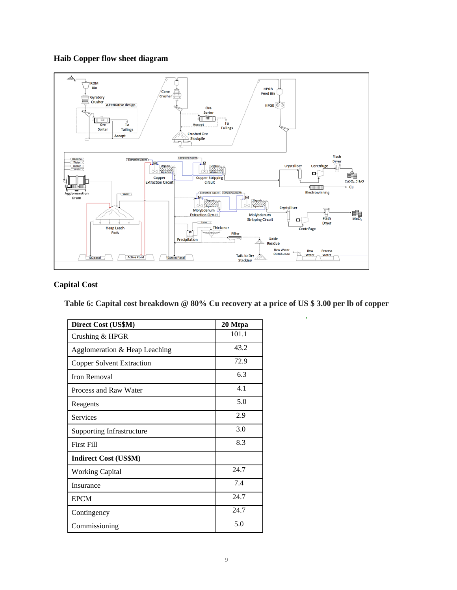# **Haib Copper flow sheet diagram**



# **Capital Cost**

**Table 6: Capital cost breakdown @ 80% Cu recovery at a price of US \$ 3.00 per lb of copper**

ï

| Direct Cost (US\$M)              | 20 Mtpa |
|----------------------------------|---------|
| Crushing & HPGR                  | 101.1   |
| Agglomeration & Heap Leaching    | 43.2    |
| <b>Copper Solvent Extraction</b> | 72.9    |
| Iron Removal                     | 6.3     |
| Process and Raw Water            | 4.1     |
| Reagents                         | 5.0     |
| Services                         | 2.9     |
| <b>Supporting Infrastructure</b> | 3.0     |
| <b>First Fill</b>                | 8.3     |
| <b>Indirect Cost (US\$M)</b>     |         |
| <b>Working Capital</b>           | 24.7    |
| Insurance                        | 7.4     |
| <b>EPCM</b>                      | 24.7    |
| Contingency                      | 24.7    |
| Commissioning                    | 5.0     |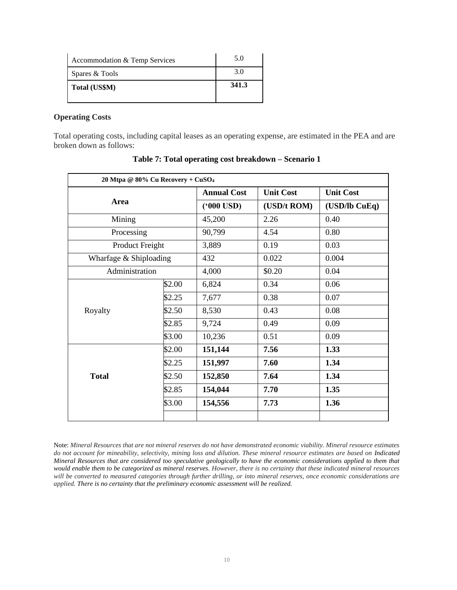| Accommodation & Temp Services | 5.0   |
|-------------------------------|-------|
| Spares & Tools                | 3.0   |
| Total (US\$M)                 | 341.3 |

#### **Operating Costs**

Total operating costs, including capital leases as an operating expense, are estimated in the PEA and are broken down as follows:

| 20 Mtpa @ 80% Cu Recovery + CuSO <sub>4</sub> |        |                                        |             |                  |
|-----------------------------------------------|--------|----------------------------------------|-------------|------------------|
|                                               |        | <b>Annual Cost</b><br><b>Unit Cost</b> |             | <b>Unit Cost</b> |
| Area                                          |        | $(900 \text{ USD})$                    | (USD/t ROM) | $(USD1)$ CuEq)   |
| Mining                                        |        | 45,200                                 | 2.26        | 0.40             |
| Processing                                    |        | 90,799                                 | 4.54        | 0.80             |
| Product Freight                               |        | 3,889                                  | 0.19        | 0.03             |
| Wharfage & Shiploading                        |        | 432                                    | 0.022       | 0.004            |
| Administration                                |        | 4,000                                  | \$0.20      | 0.04             |
|                                               | \$2.00 | 6,824                                  | 0.34        | 0.06             |
|                                               | \$2.25 | 7,677                                  | 0.38        | 0.07             |
| Royalty                                       | \$2.50 | 8,530                                  | 0.43        | 0.08             |
|                                               | \$2.85 | 9,724                                  | 0.49        | 0.09             |
|                                               | \$3.00 | 10,236                                 | 0.51        | 0.09             |
|                                               | \$2.00 | 151,144                                | 7.56        | 1.33             |
|                                               | \$2.25 | 151,997                                | 7.60        | 1.34             |
| <b>Total</b>                                  | \$2.50 | 152,850                                | 7.64        | 1.34             |
|                                               | \$2.85 | 154,044                                | 7.70        | 1.35             |
|                                               | \$3.00 | 154,556                                | 7.73        | 1.36             |
|                                               |        |                                        |             |                  |

**Table 7: Total operating cost breakdown – Scenario 1**

Note: *Mineral Resources that are not mineral reserves do not have demonstrated economic viability. Mineral resource estimates do not account for mineability, selectivity, mining loss and dilution. These mineral resource estimates are based on Indicated Mineral Resources that are considered too speculative geologically to have the economic considerations applied to them that would enable them to be categorized as mineral reserves. However, there is no certainty that these indicated mineral resources will be converted to measured categories through further drilling, or into mineral reserves, once economic considerations are applied. There is no certainty that the preliminary economic assessment will be realized.*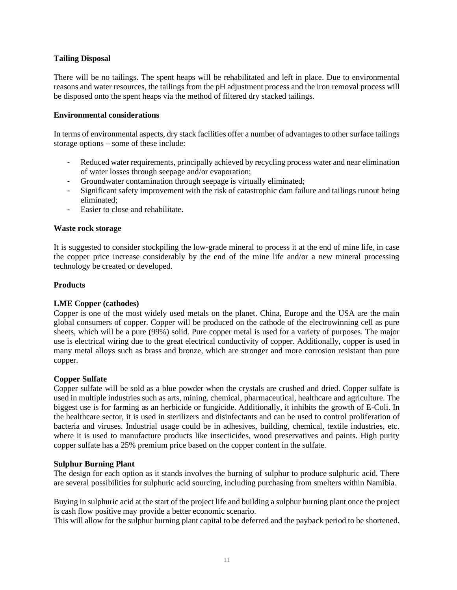## **Tailing Disposal**

There will be no tailings. The spent heaps will be rehabilitated and left in place. Due to environmental reasons and water resources, the tailings from the pH adjustment process and the iron removal process will be disposed onto the spent heaps via the method of filtered dry stacked tailings.

## **Environmental considerations**

In terms of environmental aspects, dry stack facilities offer a number of advantages to other surface tailings storage options – some of these include:

- Reduced water requirements, principally achieved by recycling process water and near elimination of water losses through seepage and/or evaporation;
- Groundwater contamination through seepage is virtually eliminated;
- Significant safety improvement with the risk of catastrophic dam failure and tailings runout being eliminated;
- Easier to close and rehabilitate.

## **Waste rock storage**

It is suggested to consider stockpiling the low-grade mineral to process it at the end of mine life, in case the copper price increase considerably by the end of the mine life and/or a new mineral processing technology be created or developed.

## **Products**

## **LME Copper (cathodes)**

Copper is one of the most widely used metals on the planet. China, Europe and the USA are the main global consumers of copper. Copper will be produced on the cathode of the electrowinning cell as pure sheets, which will be a pure (99%) solid. Pure copper metal is used for a variety of purposes. The major use is electrical wiring due to the great electrical conductivity of copper. Additionally, copper is used in many metal alloys such as brass and bronze, which are stronger and more corrosion resistant than pure copper.

## **Copper Sulfate**

Copper sulfate will be sold as a blue powder when the crystals are crushed and dried. Copper sulfate is used in multiple industries such as arts, mining, chemical, pharmaceutical, healthcare and agriculture. The biggest use is for farming as an herbicide or fungicide. Additionally, it inhibits the growth of E-Coli. In the healthcare sector, it is used in sterilizers and disinfectants and can be used to control proliferation of bacteria and viruses. Industrial usage could be in adhesives, building, chemical, textile industries, etc. where it is used to manufacture products like insecticides, wood preservatives and paints. High purity copper sulfate has a 25% premium price based on the copper content in the sulfate.

## **Sulphur Burning Plant**

The design for each option as it stands involves the burning of sulphur to produce sulphuric acid. There are several possibilities for sulphuric acid sourcing, including purchasing from smelters within Namibia.

Buying in sulphuric acid at the start of the project life and building a sulphur burning plant once the project is cash flow positive may provide a better economic scenario.

This will allow for the sulphur burning plant capital to be deferred and the payback period to be shortened.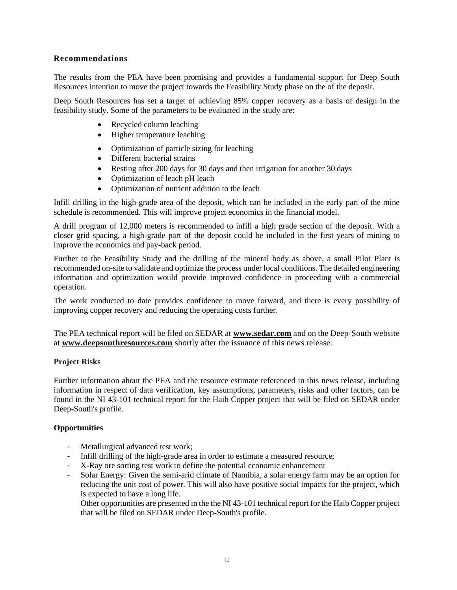## **Recommendations**

The results from the PEA have been promising and provides a fundamental support for Deep South Resources intention to move the project towards the Feasibility Study phase on the of the deposit.

Deep South Resources has set a target of achieving 85% copper recovery as a basis of design in the feasibility study. Some of the parameters to be evaluated in the study are:

- Recycled column leaching
- Higher temperature leaching
- Optimization of particle sizing for leaching
- Different bacterial strains
- Resting after 200 days for 30 days and then irrigation for another 30 days
- Optimization of leach pH leach
- Optimization of nutrient addition to the leach

Infill drilling in the high-grade area of the deposit, which can be included in the early part of the mine schedule is recommended. This will improve project economics in the financial model.

A drill program of 12,000 meters is recommended to infill a high grade section of the deposit. With a closer grid spacing, a high-grade part of the deposit could be included in the first years of mining to improve the economics and pay-back period.

Further to the Feasibility Study and the drilling of the mineral body as above, a small Pilot Plant is recommended on-site to validate and optimize the process under local conditions. The detailed engineering information and optimization would provide improved confidence in proceeding with a commercial operation.

The work conducted to date provides confidence to move forward, and there is every possibility of improving copper recovery and reducing the operating costs further.

The PEA technical report will be filed on SEDAR at **[www.sedar.com](http://www.sedar.com/)** and on the Deep-South website at **[www.deepsouthresources.com](http://www.ivanhoemines.com/)** shortly after the issuance of this news release.

## **Project Risks**

Further information about the PEA and the resource estimate referenced in this news release, including information in respect of data verification, key assumptions, parameters, risks and other factors, can be found in the NI 43-101 technical report for the Haib Copper project that will be filed on SEDAR under Deep-South's profile.

## **Opportunities**

- Metallurgical advanced test work;
- Infill drilling of the high-grade area in order to estimate a measured resource;
- X-Ray ore sorting test work to define the potential economic enhancement
- Solar Energy: Given the semi-arid climate of Namibia, a solar energy farm may be an option for reducing the unit cost of power. This will also have positive social impacts for the project, which is expected to have a long life.

Other opportunities are presented in the the NI 43-101 technical report for the Haib Copper project that will be filed on SEDAR under Deep-South's profile.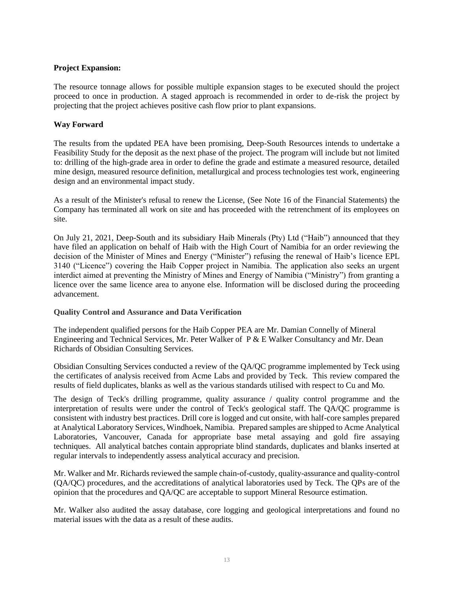# **Project Expansion:**

The resource tonnage allows for possible multiple expansion stages to be executed should the project proceed to once in production. A staged approach is recommended in order to de-risk the project by projecting that the project achieves positive cash flow prior to plant expansions.

# **Way Forward**

The results from the updated PEA have been promising, Deep-South Resources intends to undertake a Feasibility Study for the deposit as the next phase of the project. The program will include but not limited to: drilling of the high-grade area in order to define the grade and estimate a measured resource, detailed mine design, measured resource definition, metallurgical and process technologies test work, engineering design and an environmental impact study.

As a result of the Minister's refusal to renew the License, (See Note 16 of the Financial Statements) the Company has terminated all work on site and has proceeded with the retrenchment of its employees on site.

On July 21, 2021, Deep-South and its subsidiary Haib Minerals (Pty) Ltd ("Haib") announced that they have filed an application on behalf of Haib with the High Court of Namibia for an order reviewing the decision of the Minister of Mines and Energy ("Minister") refusing the renewal of Haib's licence EPL 3140 ("Licence") covering the Haib Copper project in Namibia. The application also seeks an urgent interdict aimed at preventing the Ministry of Mines and Energy of Namibia ("Ministry") from granting a licence over the same licence area to anyone else. Information will be disclosed during the proceeding advancement.

## **Quality Control and Assurance and Data Verification**

The independent qualified persons for the Haib Copper PEA are Mr. Damian Connelly of Mineral Engineering and Technical Services, Mr. Peter Walker of P & E Walker Consultancy and Mr. Dean Richards of Obsidian Consulting Services.

Obsidian Consulting Services conducted a review of the QA/QC programme implemented by Teck using the certificates of analysis received from Acme Labs and provided by Teck. This review compared the results of field duplicates, blanks as well as the various standards utilised with respect to Cu and Mo.

The design of Teck's drilling programme, quality assurance / quality control programme and the interpretation of results were under the control of Teck's geological staff. The QA/QC programme is consistent with industry best practices. Drill core is logged and cut onsite, with half-core samples prepared at Analytical Laboratory Services, Windhoek, Namibia. Prepared samples are shipped to Acme Analytical Laboratories, Vancouver, Canada for appropriate base metal assaying and gold fire assaying techniques. All analytical batches contain appropriate blind standards, duplicates and blanks inserted at regular intervals to independently assess analytical accuracy and precision.

Mr. Walker and Mr. Richards reviewed the sample chain-of-custody, quality-assurance and quality-control (QA/QC) procedures, and the accreditations of analytical laboratories used by Teck. The QPs are of the opinion that the procedures and QA/QC are acceptable to support Mineral Resource estimation.

Mr. Walker also audited the assay database, core logging and geological interpretations and found no material issues with the data as a result of these audits.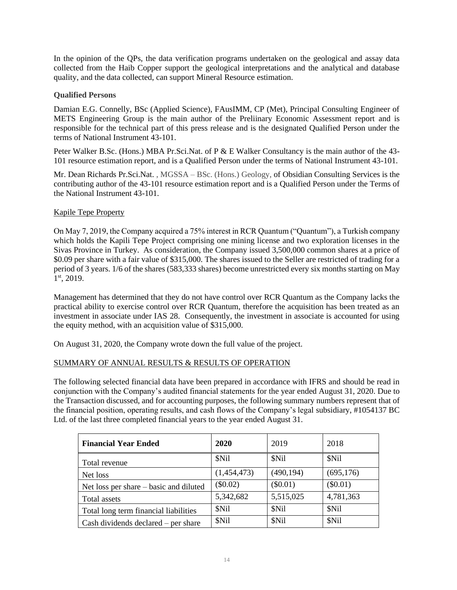In the opinion of the QPs, the data verification programs undertaken on the geological and assay data collected from the Haib Copper support the geological interpretations and the analytical and database quality, and the data collected, can support Mineral Resource estimation.

## **Qualified Persons**

Damian E.G. Connelly, BSc (Applied Science), FAusIMM, CP (Met), Principal Consulting Engineer of METS Engineering Group is the main author of the Preliinary Economic Assessment report and is responsible for the technical part of this press release and is the designated Qualified Person under the terms of National Instrument 43-101.

Peter Walker B.Sc. (Hons.) MBA Pr.Sci.Nat. of P & E Walker Consultancy is the main author of the 43-101 resource estimation report, and is a Qualified Person under the terms of National Instrument 43-101.

Mr. Dean Richards Pr.Sci.Nat. , MGSSA – BSc. (Hons.) Geology, of Obsidian Consulting Services is the contributing author of the 43-101 resource estimation report and is a Qualified Person under the Terms of the National Instrument 43-101.

# Kapile Tepe Property

On May 7, 2019, the Company acquired a 75% interest in RCR Quantum ("Quantum"), a Turkish company which holds the Kapili Tepe Project comprising one mining license and two exploration licenses in the Sivas Province in Turkey. As consideration, the Company issued 3,500,000 common shares at a price of \$0.09 per share with a fair value of \$315,000. The shares issued to the Seller are restricted of trading for a period of 3 years. 1/6 of the shares (583,333 shares) become unrestricted every six months starting on May 1st, 2019.

Management has determined that they do not have control over RCR Quantum as the Company lacks the practical ability to exercise control over RCR Quantum, therefore the acquisition has been treated as an investment in associate under IAS 28. Consequently, the investment in associate is accounted for using the equity method, with an acquisition value of \$315,000.

On August 31, 2020, the Company wrote down the full value of the project.

# SUMMARY OF ANNUAL RESULTS & RESULTS OF OPERATION

The following selected financial data have been prepared in accordance with IFRS and should be read in conjunction with the Company's audited financial statements for the year ended August 31, 2020. Due to the Transaction discussed, and for accounting purposes, the following summary numbers represent that of the financial position, operating results, and cash flows of the Company's legal subsidiary, #1054137 BC Ltd. of the last three completed financial years to the year ended August 31.

| <b>Financial Year Ended</b>            | 2020        | 2019       | 2018       |
|----------------------------------------|-------------|------------|------------|
| Total revenue                          | \$Nil       | \$Nil      | \$Nil      |
| Net loss                               | (1,454,473) | (490, 194) | (695, 176) |
| Net loss per share – basic and diluted | $(\$0.02)$  | $(\$0.01)$ | $(\$0.01)$ |
| Total assets                           | 5,342,682   | 5,515,025  | 4,781,363  |
| Total long term financial liabilities  | \$Nil       | \$Nil      | \$Nil      |
| Cash dividends declared $-$ per share  | \$Nil       | \$Nil      | \$Nil      |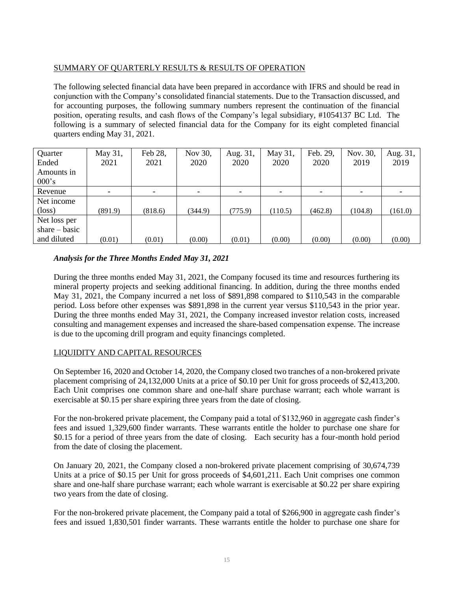# SUMMARY OF QUARTERLY RESULTS & RESULTS OF OPERATION

The following selected financial data have been prepared in accordance with IFRS and should be read in conjunction with the Company's consolidated financial statements. Due to the Transaction discussed, and for accounting purposes, the following summary numbers represent the continuation of the financial position, operating results, and cash flows of the Company's legal subsidiary, #1054137 BC Ltd. The following is a summary of selected financial data for the Company for its eight completed financial quarters ending May 31, 2021.

| Quarter         | May 31,                  | Feb 28,                  | Nov 30, | Aug. 31, | May 31, | Feb. 29,                 | Nov. 30,                 | Aug. 31, |
|-----------------|--------------------------|--------------------------|---------|----------|---------|--------------------------|--------------------------|----------|
| Ended           | 2021                     | 2021                     | 2020    | 2020     | 2020    | 2020                     | 2019                     | 2019     |
| Amounts in      |                          |                          |         |          |         |                          |                          |          |
| $000$ 's        |                          |                          |         |          |         |                          |                          |          |
| Revenue         | $\overline{\phantom{0}}$ | $\overline{\phantom{0}}$ |         |          |         | $\overline{\phantom{a}}$ | $\overline{\phantom{a}}$ |          |
| Net income      |                          |                          |         |          |         |                          |                          |          |
| $(\text{loss})$ | (891.9)                  | (818.6)                  | (344.9) | (775.9)  | (110.5) | (462.8)                  | (104.8)                  | (161.0)  |
| Net loss per    |                          |                          |         |          |         |                          |                          |          |
| share $-$ basic |                          |                          |         |          |         |                          |                          |          |
| and diluted     | (0.01)                   | (0.01)                   | (0.00)  | (0.01)   | (0.00)  | (0.00)                   | (0.00)                   | (0.00)   |

# *Analysis for the Three Months Ended May 31, 2021*

During the three months ended May 31, 2021, the Company focused its time and resources furthering its mineral property projects and seeking additional financing. In addition, during the three months ended May 31, 2021, the Company incurred a net loss of \$891,898 compared to \$110,543 in the comparable period. Loss before other expenses was \$891,898 in the current year versus \$110,543 in the prior year. During the three months ended May 31, 2021, the Company increased investor relation costs, increased consulting and management expenses and increased the share-based compensation expense. The increase is due to the upcoming drill program and equity financings completed.

# LIQUIDITY AND CAPITAL RESOURCES

On September 16, 2020 and October 14, 2020, the Company closed two tranches of a non-brokered private placement comprising of 24,132,000 Units at a price of \$0.10 per Unit for gross proceeds of \$2,413,200. Each Unit comprises one common share and one-half share purchase warrant; each whole warrant is exercisable at \$0.15 per share expiring three years from the date of closing.

For the non-brokered private placement, the Company paid a total of \$132,960 in aggregate cash finder's fees and issued 1,329,600 finder warrants. These warrants entitle the holder to purchase one share for \$0.15 for a period of three years from the date of closing. Each security has a four-month hold period from the date of closing the placement.

On January 20, 2021, the Company closed a non-brokered private placement comprising of 30,674,739 Units at a price of \$0.15 per Unit for gross proceeds of \$4,601,211. Each Unit comprises one common share and one-half share purchase warrant; each whole warrant is exercisable at \$0.22 per share expiring two years from the date of closing.

For the non-brokered private placement, the Company paid a total of \$266,900 in aggregate cash finder's fees and issued 1,830,501 finder warrants. These warrants entitle the holder to purchase one share for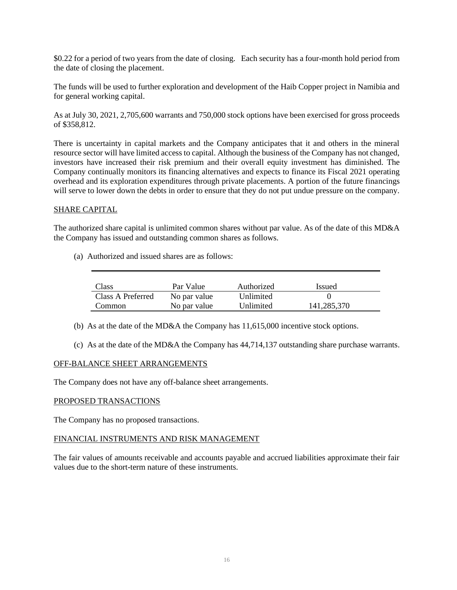\$0.22 for a period of two years from the date of closing. Each security has a four-month hold period from the date of closing the placement.

The funds will be used to further exploration and development of the Haib Copper project in Namibia and for general working capital.

As at July 30, 2021, 2,705,600 warrants and 750,000 stock options have been exercised for gross proceeds of \$358,812.

There is uncertainty in capital markets and the Company anticipates that it and others in the mineral resource sector will have limited access to capital. Although the business of the Company has not changed, investors have increased their risk premium and their overall equity investment has diminished. The Company continually monitors its financing alternatives and expects to finance its Fiscal 2021 operating overhead and its exploration expenditures through private placements. A portion of the future financings will serve to lower down the debts in order to ensure that they do not put undue pressure on the company.

## SHARE CAPITAL

The authorized share capital is unlimited common shares without par value. As of the date of this MD&A the Company has issued and outstanding common shares as follows.

(a) Authorized and issued shares are as follows:

| Class             | Par Value    | Authorized | Issued      |
|-------------------|--------------|------------|-------------|
| Class A Preferred | No par value | Unlimited  |             |
| Common            | No par value | Unlimited  | 141,285,370 |

(b) As at the date of the MD&A the Company has 11,615,000 incentive stock options.

(c) As at the date of the MD&A the Company has 44,714,137 outstanding share purchase warrants.

#### OFF-BALANCE SHEET ARRANGEMENTS

The Company does not have any off-balance sheet arrangements.

#### PROPOSED TRANSACTIONS

The Company has no proposed transactions.

## FINANCIAL INSTRUMENTS AND RISK MANAGEMENT

The fair values of amounts receivable and accounts payable and accrued liabilities approximate their fair values due to the short-term nature of these instruments.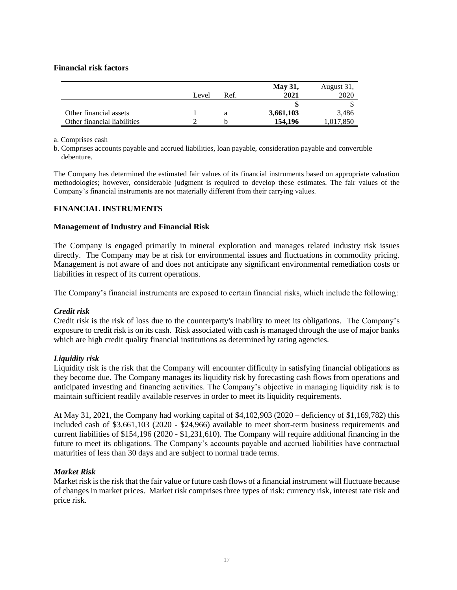#### **Financial risk factors**

|                             |       |      | <b>May 31,</b> | August 31, |
|-----------------------------|-------|------|----------------|------------|
|                             | Level | Ref. | 2021           | 2020       |
|                             |       |      |                |            |
| Other financial assets      |       |      | 3,661,103      | 3,486      |
| Other financial liabilities |       |      | 154,196        | 1,017,850  |

a. Comprises cash

b. Comprises accounts payable and accrued liabilities, loan payable, consideration payable and convertible debenture.

The Company has determined the estimated fair values of its financial instruments based on appropriate valuation methodologies; however, considerable judgment is required to develop these estimates. The fair values of the Company's financial instruments are not materially different from their carrying values.

## **FINANCIAL INSTRUMENTS**

#### **Management of Industry and Financial Risk**

The Company is engaged primarily in mineral exploration and manages related industry risk issues directly. The Company may be at risk for environmental issues and fluctuations in commodity pricing. Management is not aware of and does not anticipate any significant environmental remediation costs or liabilities in respect of its current operations.

The Company's financial instruments are exposed to certain financial risks, which include the following:

#### *Credit risk*

Credit risk is the risk of loss due to the counterparty's inability to meet its obligations. The Company's exposure to credit risk is on its cash. Risk associated with cash is managed through the use of major banks which are high credit quality financial institutions as determined by rating agencies.

#### *Liquidity risk*

Liquidity risk is the risk that the Company will encounter difficulty in satisfying financial obligations as they become due. The Company manages its liquidity risk by forecasting cash flows from operations and anticipated investing and financing activities. The Company's objective in managing liquidity risk is to maintain sufficient readily available reserves in order to meet its liquidity requirements.

At May 31, 2021, the Company had working capital of \$4,102,903 (2020 – deficiency of \$1,169,782) this included cash of \$3,661,103 (2020 - \$24,966) available to meet short-term business requirements and current liabilities of \$154,196 (2020 - \$1,231,610). The Company will require additional financing in the future to meet its obligations. The Company's accounts payable and accrued liabilities have contractual maturities of less than 30 days and are subject to normal trade terms.

## *Market Risk*

Market risk is the risk that the fair value or future cash flows of a financial instrument will fluctuate because of changes in market prices. Market risk comprises three types of risk: currency risk, interest rate risk and price risk.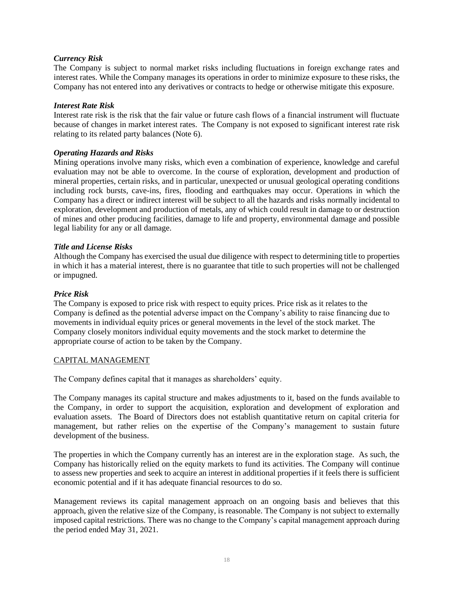## *Currency Risk*

The Company is subject to normal market risks including fluctuations in foreign exchange rates and interest rates. While the Company manages its operations in order to minimize exposure to these risks, the Company has not entered into any derivatives or contracts to hedge or otherwise mitigate this exposure.

#### *Interest Rate Risk*

Interest rate risk is the risk that the fair value or future cash flows of a financial instrument will fluctuate because of changes in market interest rates. The Company is not exposed to significant interest rate risk relating to its related party balances (Note 6).

## *Operating Hazards and Risks*

Mining operations involve many risks, which even a combination of experience, knowledge and careful evaluation may not be able to overcome. In the course of exploration, development and production of mineral properties, certain risks, and in particular, unexpected or unusual geological operating conditions including rock bursts, cave-ins, fires, flooding and earthquakes may occur. Operations in which the Company has a direct or indirect interest will be subject to all the hazards and risks normally incidental to exploration, development and production of metals, any of which could result in damage to or destruction of mines and other producing facilities, damage to life and property, environmental damage and possible legal liability for any or all damage.

#### *Title and License Risks*

Although the Company has exercised the usual due diligence with respect to determining title to properties in which it has a material interest, there is no guarantee that title to such properties will not be challenged or impugned.

#### *Price Risk*

The Company is exposed to price risk with respect to equity prices. Price risk as it relates to the Company is defined as the potential adverse impact on the Company's ability to raise financing due to movements in individual equity prices or general movements in the level of the stock market. The Company closely monitors individual equity movements and the stock market to determine the appropriate course of action to be taken by the Company.

## CAPITAL MANAGEMENT

The Company defines capital that it manages as shareholders' equity.

The Company manages its capital structure and makes adjustments to it, based on the funds available to the Company, in order to support the acquisition, exploration and development of exploration and evaluation assets. The Board of Directors does not establish quantitative return on capital criteria for management, but rather relies on the expertise of the Company's management to sustain future development of the business.

The properties in which the Company currently has an interest are in the exploration stage. As such, the Company has historically relied on the equity markets to fund its activities. The Company will continue to assess new properties and seek to acquire an interest in additional properties if it feels there is sufficient economic potential and if it has adequate financial resources to do so.

Management reviews its capital management approach on an ongoing basis and believes that this approach, given the relative size of the Company, is reasonable. The Company is not subject to externally imposed capital restrictions. There was no change to the Company's capital management approach during the period ended May 31, 2021.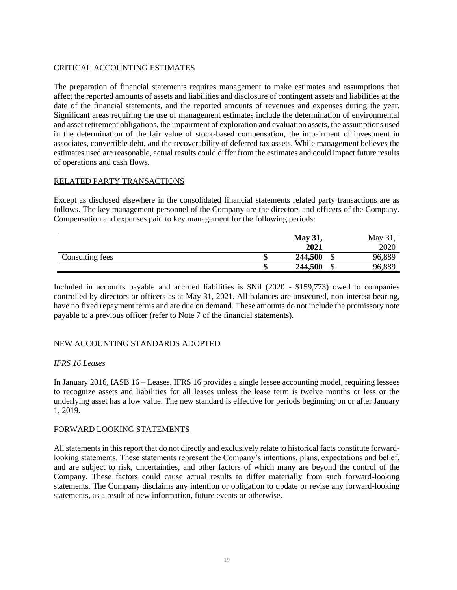# CRITICAL ACCOUNTING ESTIMATES

The preparation of financial statements requires management to make estimates and assumptions that affect the reported amounts of assets and liabilities and disclosure of contingent assets and liabilities at the date of the financial statements, and the reported amounts of revenues and expenses during the year. Significant areas requiring the use of management estimates include the determination of environmental and asset retirement obligations, the impairment of exploration and evaluation assets, the assumptions used in the determination of the fair value of stock-based compensation, the impairment of investment in associates, convertible debt, and the recoverability of deferred tax assets. While management believes the estimates used are reasonable, actual results could differ from the estimates and could impact future results of operations and cash flows.

# RELATED PARTY TRANSACTIONS

Except as disclosed elsewhere in the consolidated financial statements related party transactions are as follows. The key management personnel of the Company are the directors and officers of the Company. Compensation and expenses paid to key management for the following periods:

|                 | <b>May 31,</b> |         | May 31, |        |
|-----------------|----------------|---------|---------|--------|
|                 |                | 2021    |         | 2020   |
| Consulting fees | ٨D             | 244,500 | ₼<br>◡  | 96,889 |
|                 | ٠п             | 244,500 | ₼<br>۰D | 96,889 |

Included in accounts payable and accrued liabilities is \$Nil (2020 - \$159,773) owed to companies controlled by directors or officers as at May 31, 2021. All balances are unsecured, non-interest bearing, have no fixed repayment terms and are due on demand. These amounts do not include the promissory note payable to a previous officer (refer to Note 7 of the financial statements).

# NEW ACCOUNTING STANDARDS ADOPTED

## *IFRS 16 Leases*

In January 2016, IASB 16 – Leases. IFRS 16 provides a single lessee accounting model, requiring lessees to recognize assets and liabilities for all leases unless the lease term is twelve months or less or the underlying asset has a low value. The new standard is effective for periods beginning on or after January 1, 2019.

## FORWARD LOOKING STATEMENTS

All statements in this report that do not directly and exclusively relate to historical facts constitute forwardlooking statements. These statements represent the Company's intentions, plans, expectations and belief, and are subject to risk, uncertainties, and other factors of which many are beyond the control of the Company. These factors could cause actual results to differ materially from such forward-looking statements. The Company disclaims any intention or obligation to update or revise any forward-looking statements, as a result of new information, future events or otherwise.